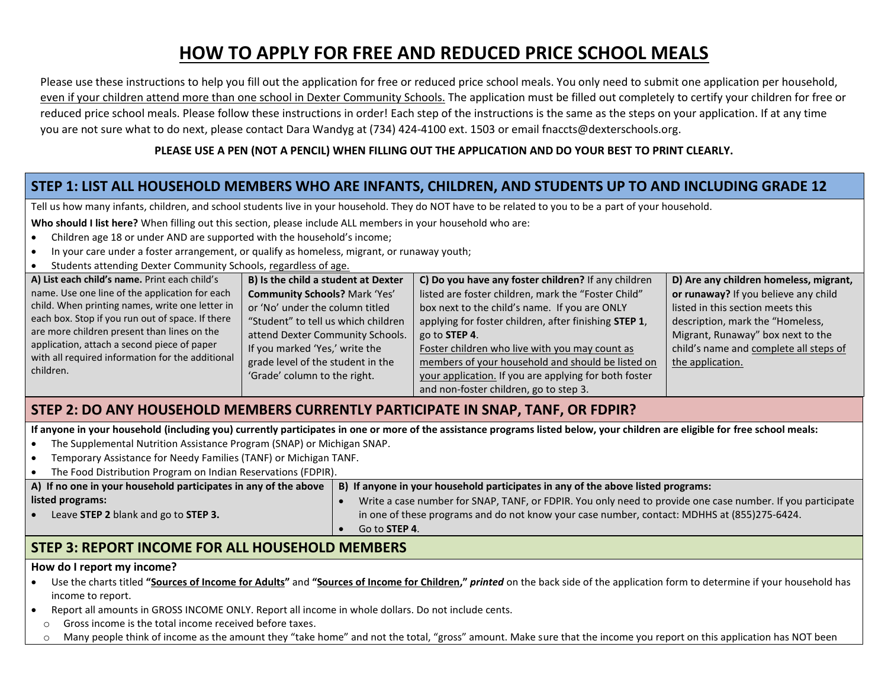# **HOW TO APPLY FOR FREE AND REDUCED PRICE SCHOOL MEALS**

Please use these instructions to help you fill out the application for free or reduced price school meals. You only need to submit one application per household, even if your children attend more than one school in Dexter Community Schools. The application must be filled out completely to certify your children for free or reduced price school meals. Please follow these instructions in order! Each step of the instructions is the same as the steps on your application. If at any time you are not sure what to do next, please contact Dara Wandyg at (734) 424-4100 ext. 1503 or email fnaccts@dexterschools.org.

#### **PLEASE USE A PEN (NOT A PENCIL) WHEN FILLING OUT THE APPLICATION AND DO YOUR BEST TO PRINT CLEARLY.**

## **STEP 1: LIST ALL HOUSEHOLD MEMBERS WHO ARE INFANTS, CHILDREN, AND STUDENTS UP TO AND INCLUDING GRADE 12**

Tell us how many infants, children, and school students live in your household. They do NOT have to be related to you to be a part of your household.

**Who should I list here?** When filling out this section, please include ALL members in your household who are:

- Children age 18 or under AND are supported with the household's income;
- In your care under a foster arrangement, or qualify as homeless, migrant, or runaway youth;
- Students attending Dexter Community Schools, regardless of age.

| A) List each child's name. Print each child's                                                                | B) Is the child a student at Dexter  | C) Do you have any foster children? If any children   | D) Are any children homeless, migrant, |
|--------------------------------------------------------------------------------------------------------------|--------------------------------------|-------------------------------------------------------|----------------------------------------|
| name. Use one line of the application for each                                                               | <b>Community Schools? Mark 'Yes'</b> | listed are foster children, mark the "Foster Child"   | or runaway? If you believe any child   |
| child. When printing names, write one letter in                                                              | or 'No' under the column titled      | box next to the child's name. If you are ONLY         | listed in this section meets this      |
| each box. Stop if you run out of space. If there                                                             | "Student" to tell us which children  | applying for foster children, after finishing STEP 1, | description, mark the "Homeless,       |
| are more children present than lines on the                                                                  | attend Dexter Community Schools.     | $\vert$ go to STEP 4.                                 | Migrant, Runaway" box next to the      |
| application, attach a second piece of paper<br>with all required information for the additional<br>children. | If you marked 'Yes,' write the       | Foster children who live with you may count as        | child's name and complete all steps of |
|                                                                                                              | grade level of the student in the    | members of your household and should be listed on     | the application.                       |
|                                                                                                              | 'Grade' column to the right.         | your application. If you are applying for both foster |                                        |
|                                                                                                              |                                      | and non-foster children, go to step 3.                |                                        |

### **STEP 2: DO ANY HOUSEHOLD MEMBERS CURRENTLY PARTICIPATE IN SNAP, TANF, OR FDPIR?**

**If anyone in your household (including you) currently participates in one or more of the assistance programs listed below, your children are eligible for free school meals:**

- The Supplemental Nutrition Assistance Program (SNAP) or Michigan SNAP.
- Temporary Assistance for Needy Families (TANF) or Michigan TANF.

| The Food Distribution Program on Indian Reservations (FDPIR).   |                                                                                                            |  |  |  |  |
|-----------------------------------------------------------------|------------------------------------------------------------------------------------------------------------|--|--|--|--|
| A) If no one in your household participates in any of the above | B) If anyone in your household participates in any of the above listed programs:                           |  |  |  |  |
| listed programs:                                                | Write a case number for SNAP, TANF, or FDPIR. You only need to provide one case number. If you participate |  |  |  |  |
| Leave STEP 2 blank and go to STEP 3.                            | in one of these programs and do not know your case number, contact: MDHHS at (855)275-6424.                |  |  |  |  |
|                                                                 | Go to <b>STEP 4</b> .                                                                                      |  |  |  |  |
|                                                                 |                                                                                                            |  |  |  |  |

### **STEP 3: REPORT INCOME FOR ALL HOUSEHOLD MEMBERS**

#### **How do I report my income?**

- Use the charts titled **"Sources of Income for Adults"** and **"Sources of Income for Children,"** *printed* on the back side of the application form to determine if your household has income to report.
- Report all amounts in GROSS INCOME ONLY. Report all income in whole dollars. Do not include cents.
	- o Gross income is the total income received before taxes.
	- o Many people think of income as the amount they "take home" and not the total, "gross" amount. Make sure that the income you report on this application has NOT been